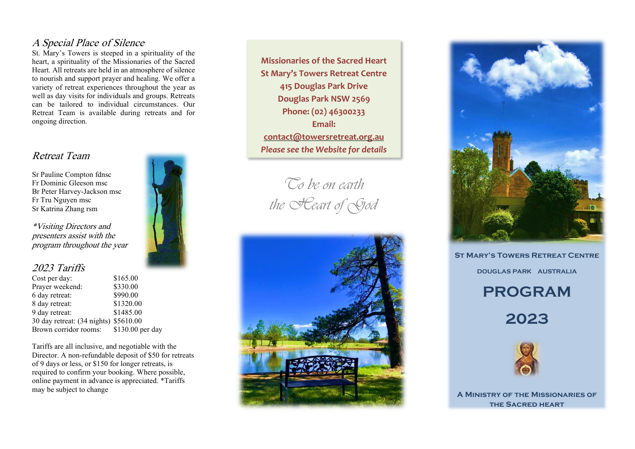### A Special Place of Silence

St. Mary's Towers is steeped in a spirituality of the heart, a spirituality of the Missionaries of the Sacred Heart. All retreats are held in an atmosphere of silence to nourish and support prayer and healing. We offer a variety of retreat experiences throughout the year as well as day visits for individuals and groups. Retreats can be tailored to individual circumstances. Our Retreat Team is available during retreats and for ongoing direction.

### Retreat Team

Sr Pauline Compton fdnsc Fr Dominic Gleeson msc Br Peter Harvey -Jackson msc Fr Tru Nguyen msc Sr Katrina Zhang rsm

\*Visiting Directors and presenters assist with the program throughout the year

### 2023 Tariffs

| Cost per day:                         | \$165.00         |
|---------------------------------------|------------------|
| Prayer weekend:                       | \$330.00         |
| 6 day retreat:                        | \$990.00         |
| 8 day retreat:                        | \$1320.00        |
| 9 day retreat:                        | \$1485.00        |
| 30 day retreat: (34 nights) \$5610.00 |                  |
| Brown corridor rooms:                 | \$130.00 per day |

Tariffs are all inclusive, and negotiable with the Director. A non -refundable deposit of \$50 for retreats of 9 days or less, or \$150 for longer retreats, is required to confirm your booking. Where possible, online payment in advance is appreciated. \*Tariffs may be subject to change



*To be on earth the Heart of God*





**St Mary's Towers Retreat Centre**

**DOUGLAS PARK AUSTRALIA**

# **PROGRAM**

**202 3**



**A Ministry of the Missionaries of the Sacred heart**